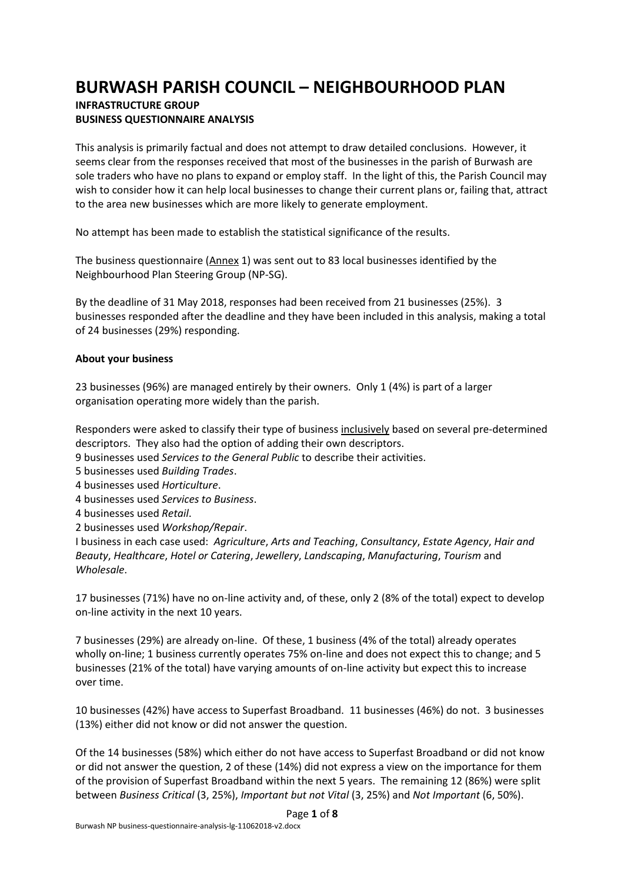# **BURWASH PARISH COUNCIL – NEIGHBOURHOOD PLAN**

# **INFRASTRUCTURE GROUP BUSINESS QUESTIONNAIRE ANALYSIS**

This analysis is primarily factual and does not attempt to draw detailed conclusions. However, it seems clear from the responses received that most of the businesses in the parish of Burwash are sole traders who have no plans to expand or employ staff. In the light of this, the Parish Council may wish to consider how it can help local businesses to change their current plans or, failing that, attract to the area new businesses which are more likely to generate employment.

No attempt has been made to establish the statistical significance of the results.

The business questionnaire (Annex 1) was sent out to 83 local businesses identified by the Neighbourhood Plan Steering Group (NP-SG).

By the deadline of 31 May 2018, responses had been received from 21 businesses (25%). 3 businesses responded after the deadline and they have been included in this analysis, making a total of 24 businesses (29%) responding.

# **About your business**

23 businesses (96%) are managed entirely by their owners. Only 1 (4%) is part of a larger organisation operating more widely than the parish.

Responders were asked to classify their type of business inclusively based on several pre-determined descriptors. They also had the option of adding their own descriptors.

9 businesses used *Services to the General Public* to describe their activities.

- 5 businesses used *Building Trades*.
- 4 businesses used *Horticulture*.
- 4 businesses used *Services to Business*.
- 4 businesses used *Retail*.
- 2 businesses used *Workshop/Repair*.

I business in each case used: *Agriculture*, *Arts and Teaching*, *Consultancy*, *Estate Agency*, *Hair and Beauty*, *Healthcare*, *Hotel or Catering*, *Jewellery*, *Landscaping*, *Manufacturing*, *Tourism* and *Wholesale*.

17 businesses (71%) have no on-line activity and, of these, only 2 (8% of the total) expect to develop on-line activity in the next 10 years.

7 businesses (29%) are already on-line. Of these, 1 business (4% of the total) already operates wholly on-line; 1 business currently operates 75% on-line and does not expect this to change; and 5 businesses (21% of the total) have varying amounts of on-line activity but expect this to increase over time.

10 businesses (42%) have access to Superfast Broadband. 11 businesses (46%) do not. 3 businesses (13%) either did not know or did not answer the question.

Of the 14 businesses (58%) which either do not have access to Superfast Broadband or did not know or did not answer the question, 2 of these (14%) did not express a view on the importance for them of the provision of Superfast Broadband within the next 5 years. The remaining 12 (86%) were split between *Business Critical* (3, 25%), *Important but not Vital* (3, 25%) and *Not Important* (6, 50%).

#### Page **1** of **8**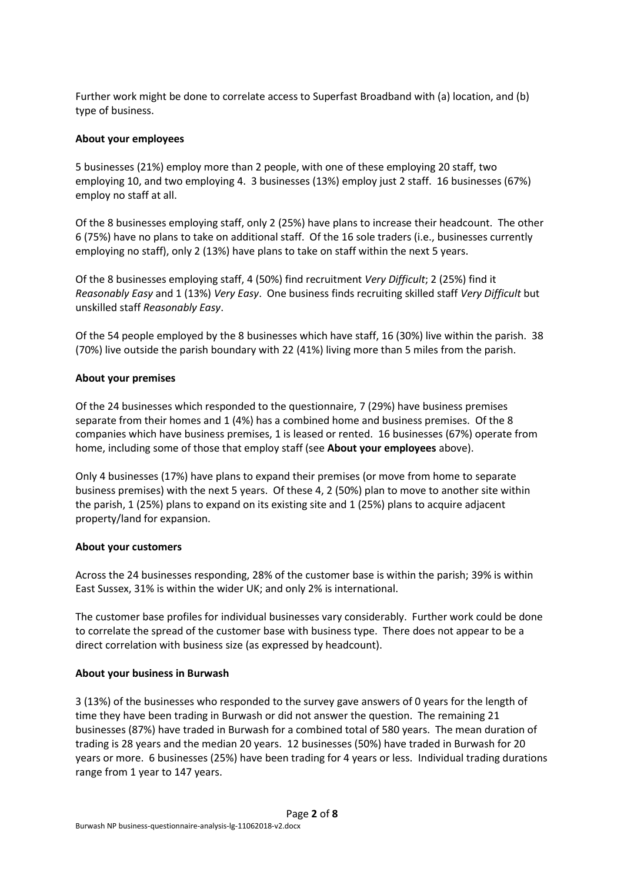Further work might be done to correlate access to Superfast Broadband with (a) location, and (b) type of business.

## **About your employees**

5 businesses (21%) employ more than 2 people, with one of these employing 20 staff, two employing 10, and two employing 4. 3 businesses (13%) employ just 2 staff. 16 businesses (67%) employ no staff at all.

Of the 8 businesses employing staff, only 2 (25%) have plans to increase their headcount. The other 6 (75%) have no plans to take on additional staff. Of the 16 sole traders (i.e., businesses currently employing no staff), only 2 (13%) have plans to take on staff within the next 5 years.

Of the 8 businesses employing staff, 4 (50%) find recruitment *Very Difficult*; 2 (25%) find it *Reasonably Easy* and 1 (13%) *Very Easy*. One business finds recruiting skilled staff *Very Difficult* but unskilled staff *Reasonably Easy*.

Of the 54 people employed by the 8 businesses which have staff, 16 (30%) live within the parish. 38 (70%) live outside the parish boundary with 22 (41%) living more than 5 miles from the parish.

### **About your premises**

Of the 24 businesses which responded to the questionnaire, 7 (29%) have business premises separate from their homes and 1 (4%) has a combined home and business premises. Of the 8 companies which have business premises, 1 is leased or rented. 16 businesses (67%) operate from home, including some of those that employ staff (see **About your employees** above).

Only 4 businesses (17%) have plans to expand their premises (or move from home to separate business premises) with the next 5 years. Of these 4, 2 (50%) plan to move to another site within the parish, 1 (25%) plans to expand on its existing site and 1 (25%) plans to acquire adjacent property/land for expansion.

### **About your customers**

Across the 24 businesses responding, 28% of the customer base is within the parish; 39% is within East Sussex, 31% is within the wider UK; and only 2% is international.

The customer base profiles for individual businesses vary considerably. Further work could be done to correlate the spread of the customer base with business type. There does not appear to be a direct correlation with business size (as expressed by headcount).

### **About your business in Burwash**

3 (13%) of the businesses who responded to the survey gave answers of 0 years for the length of time they have been trading in Burwash or did not answer the question. The remaining 21 businesses (87%) have traded in Burwash for a combined total of 580 years. The mean duration of trading is 28 years and the median 20 years. 12 businesses (50%) have traded in Burwash for 20 years or more. 6 businesses (25%) have been trading for 4 years or less. Individual trading durations range from 1 year to 147 years.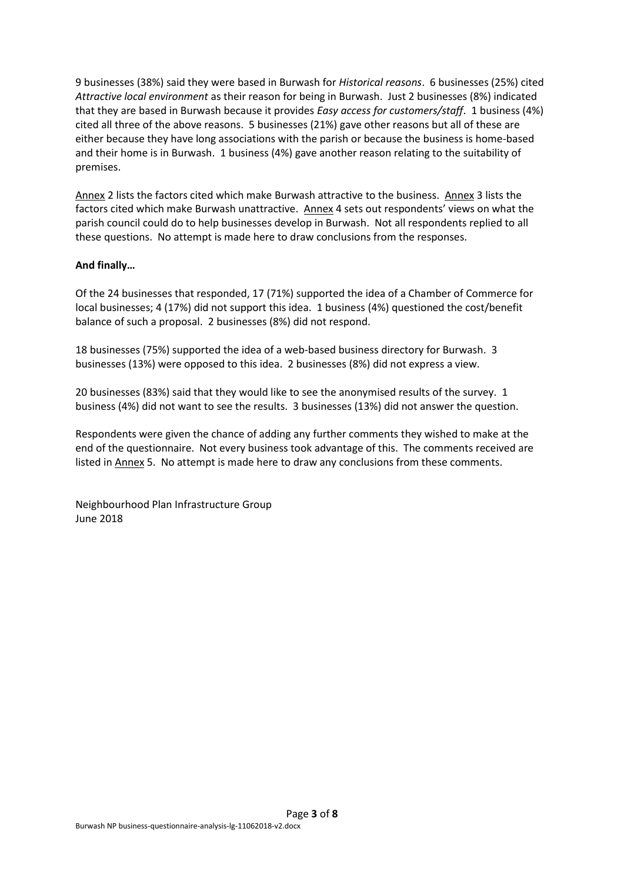9 businesses (38%) said they were based in Burwash for *Historical reasons*. 6 businesses (25%) cited *Attractive local environment* as their reason for being in Burwash. Just 2 businesses (8%) indicated that they are based in Burwash because it provides *Easy access for customers/staff*. 1 business (4%) cited all three of the above reasons. 5 businesses (21%) gave other reasons but all of these are either because they have long associations with the parish or because the business is home-based and their home is in Burwash. 1 business (4%) gave another reason relating to the suitability of premises.

Annex 2 lists the factors cited which make Burwash attractive to the business. Annex 3 lists the factors cited which make Burwash unattractive. Annex 4 sets out respondents' views on what the parish council could do to help businesses develop in Burwash. Not all respondents replied to all these questions. No attempt is made here to draw conclusions from the responses.

# **And finally…**

Of the 24 businesses that responded, 17 (71%) supported the idea of a Chamber of Commerce for local businesses; 4 (17%) did not support this idea. 1 business (4%) questioned the cost/benefit balance of such a proposal. 2 businesses (8%) did not respond.

18 businesses (75%) supported the idea of a web-based business directory for Burwash. 3 businesses (13%) were opposed to this idea. 2 businesses (8%) did not express a view.

20 businesses (83%) said that they would like to see the anonymised results of the survey. 1 business (4%) did not want to see the results. 3 businesses (13%) did not answer the question.

Respondents were given the chance of adding any further comments they wished to make at the end of the questionnaire. Not every business took advantage of this. The comments received are listed in Annex 5. No attempt is made here to draw any conclusions from these comments.

Neighbourhood Plan Infrastructure Group June 2018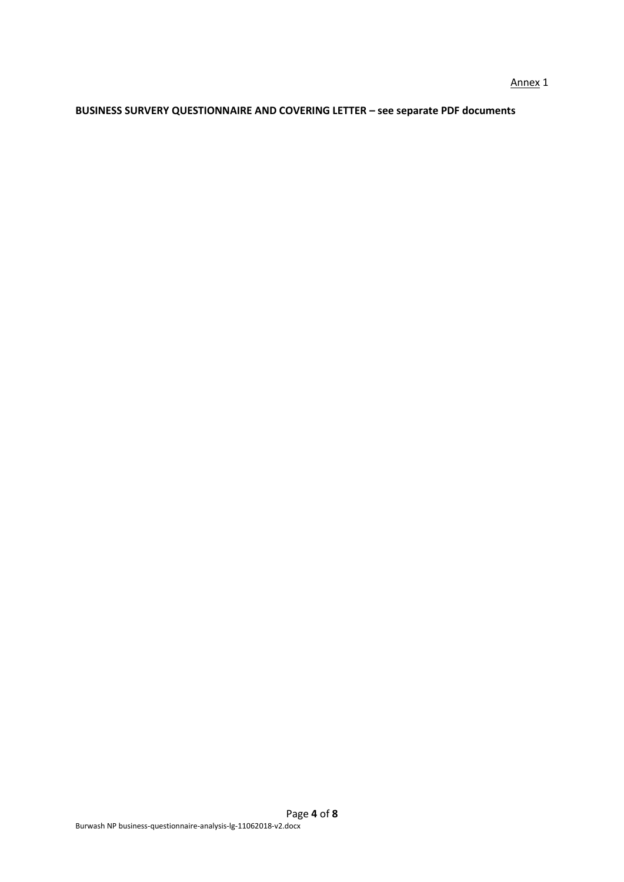# **BUSINESS SURVERY QUESTIONNAIRE AND COVERING LETTER – see separate PDF documents**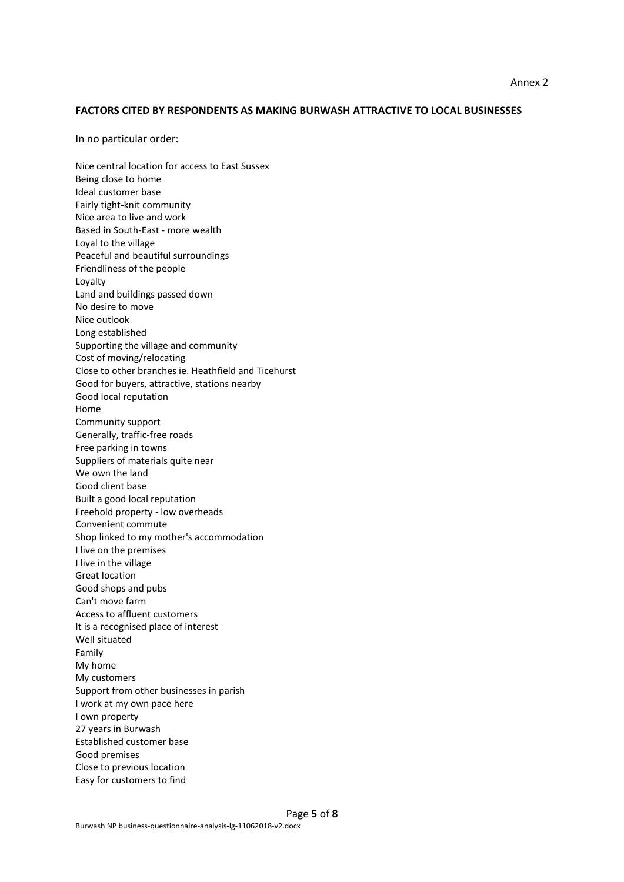#### **FACTORS CITED BY RESPONDENTS AS MAKING BURWASH ATTRACTIVE TO LOCAL BUSINESSES**

In no particular order:

Nice central location for access to East Sussex Being close to home Ideal customer base Fairly tight-knit community Nice area to live and work Based in South-East - more wealth Loyal to the village Peaceful and beautiful surroundings Friendliness of the people Loyalty Land and buildings passed down No desire to move Nice outlook Long established Supporting the village and community Cost of moving/relocating Close to other branches ie. Heathfield and Ticehurst Good for buyers, attractive, stations nearby Good local reputation Home Community support Generally, traffic-free roads Free parking in towns Suppliers of materials quite near We own the land Good client base Built a good local reputation Freehold property - low overheads Convenient commute Shop linked to my mother's accommodation I live on the premises I live in the village Great location Good shops and pubs Can't move farm Access to affluent customers It is a recognised place of interest Well situated Family My home My customers Support from other businesses in parish I work at my own pace here I own property 27 years in Burwash Established customer base Good premises Close to previous location Easy for customers to find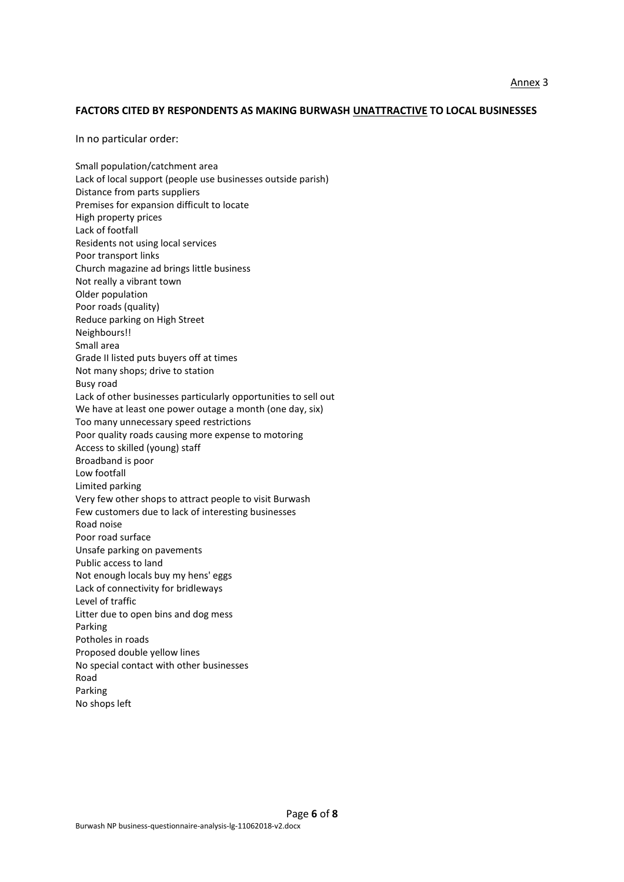#### **FACTORS CITED BY RESPONDENTS AS MAKING BURWASH UNATTRACTIVE TO LOCAL BUSINESSES**

In no particular order:

Small population/catchment area Lack of local support (people use businesses outside parish) Distance from parts suppliers Premises for expansion difficult to locate High property prices Lack of footfall Residents not using local services Poor transport links Church magazine ad brings little business Not really a vibrant town Older population Poor roads (quality) Reduce parking on High Street Neighbours!! Small area Grade II listed puts buyers off at times Not many shops; drive to station Busy road Lack of other businesses particularly opportunities to sell out We have at least one power outage a month (one day, six) Too many unnecessary speed restrictions Poor quality roads causing more expense to motoring Access to skilled (young) staff Broadband is poor Low footfall Limited parking Very few other shops to attract people to visit Burwash Few customers due to lack of interesting businesses Road noise Poor road surface Unsafe parking on pavements Public access to land Not enough locals buy my hens' eggs Lack of connectivity for bridleways Level of traffic Litter due to open bins and dog mess Parking Potholes in roads Proposed double yellow lines No special contact with other businesses Road Parking No shops left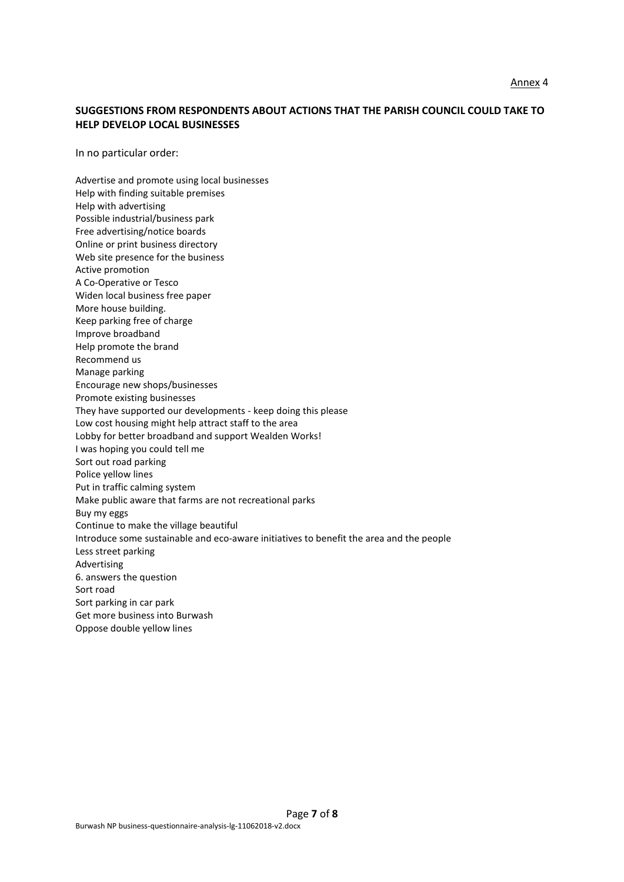### **SUGGESTIONS FROM RESPONDENTS ABOUT ACTIONS THAT THE PARISH COUNCIL COULD TAKE TO HELP DEVELOP LOCAL BUSINESSES**

In no particular order:

Advertise and promote using local businesses Help with finding suitable premises Help with advertising Possible industrial/business park Free advertising/notice boards Online or print business directory Web site presence for the business Active promotion A Co-Operative or Tesco Widen local business free paper More house building. Keep parking free of charge Improve broadband Help promote the brand Recommend us Manage parking Encourage new shops/businesses Promote existing businesses They have supported our developments - keep doing this please Low cost housing might help attract staff to the area Lobby for better broadband and support Wealden Works! I was hoping you could tell me Sort out road parking Police yellow lines Put in traffic calming system Make public aware that farms are not recreational parks Buy my eggs Continue to make the village beautiful Introduce some sustainable and eco-aware initiatives to benefit the area and the people Less street parking Advertising 6. answers the question Sort road Sort parking in car park Get more business into Burwash Oppose double yellow lines